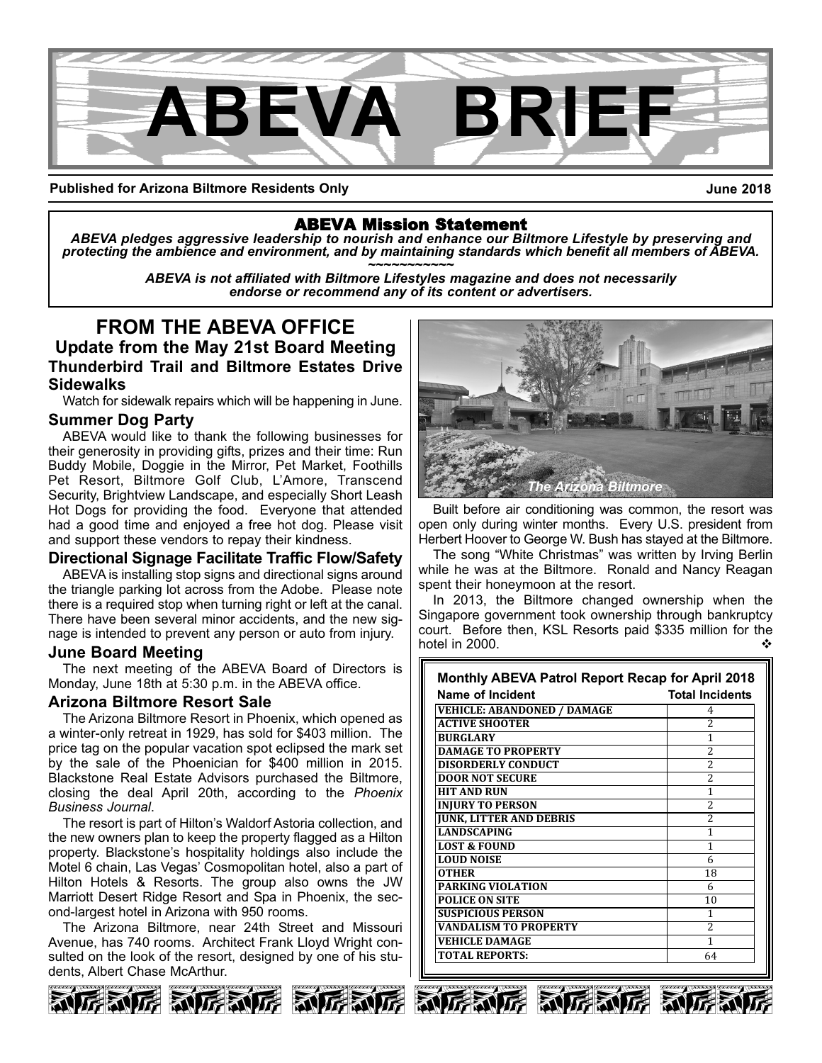

**Published for Arizona Biltmore Residents Only**

**June 2018**

## ABEVA Mission Statement

*ABEVA pledges aggressive leadership to nourish and enhance our Biltmore Lifestyle by preserving and* protecting the ambience and environment, and by maintaining standards which benefit all members of ABEVA.<br>ABEVA is not affiliated with Biltmore Lifestyles magazine and does not necessarily

*endorse or recommend any of its content or advertisers.*

**FROM THE ABEVA OFFICE Update from the May 21st Board Meeting Thunderbird Trail and Biltmore Estates Drive Sidewalks**

Watch for sidewalk repairs which will be happening in June.

## **Summer Dog Party**

ABEVA would like to thank the following businesses for their generosity in providing gifts, prizes and their time: Run Buddy Mobile, Doggie in the Mirror, Pet Market, Foothills Pet Resort, Biltmore Golf Club, L'Amore, Transcend Security, Brightview Landscape, and especially Short Leash Hot Dogs for providing the food. Everyone that attended had a good time and enjoyed a free hot dog. Please visit and support these vendors to repay their kindness.

## **Directional Signage Facilitate Traffic Flow/Safety**

ABEVA is installing stop signs and directional signs around the triangle parking lot across from the Adobe. Please note there is a required stop when turning right or left at the canal. There have been several minor accidents, and the new signage is intended to prevent any person or auto from injury.

## **June Board Meeting**

The next meeting of the ABEVA Board of Directors is Monday, June 18th at 5:30 p.m. in the ABEVA office.

## **Arizona Biltmore Resort Sale**

The Arizona Biltmore Resort in Phoenix, which opened as a winter-only retreat in 1929, has sold for \$403 million. The price tag on the popular vacation spot eclipsed the mark set by the sale of the Phoenician for \$400 million in 2015. Blackstone Real Estate Advisors purchased the Biltmore, closing the deal April 20th, according to the *Phoenix Business Journal*.

The resort is part of Hilton's Waldorf Astoria collection, and the new owners plan to keep the property flagged as a Hilton property. Blackstone's hospitality holdings also include the Motel 6 chain, Las Vegas' Cosmopolitan hotel, also a part of Hilton Hotels & Resorts. The group also owns the JW Marriott Desert Ridge Resort and Spa in Phoenix, the second-largest hotel in Arizona with 950 rooms.

The Arizona Biltmore, near 24th Street and Missouri Avenue, has 740 rooms. Architect Frank Lloyd Wright consulted on the look of the resort, designed by one of his students, Albert Chase McArthur.





Built before air conditioning was common, the resort was open only during winter months. Every U.S. president from Herbert Hoover to George W. Bush has stayed at the Biltmore.

The song "White Christmas" was written by Irving Berlin while he was at the Biltmore. Ronald and Nancy Reagan spent their honeymoon at the resort.

In 2013, the Biltmore changed ownership when the Singapore government took ownership through bankruptcy court. Before then, KSL Resorts paid \$335 million for the hotel in 2000.  $\bullet$ 

| <b>Monthly ABEVA Patrol Report Recap for April 2018</b> |                          |
|---------------------------------------------------------|--------------------------|
| <b>Name of Incident</b>                                 | <b>Total Incidents</b>   |
| <b>VEHICLE: ABANDONED / DAMAGE</b>                      | 4                        |
| <b>ACTIVE SHOOTER</b>                                   | 2                        |
| <b>BURGLARY</b>                                         | 1                        |
| <b>DAMAGE TO PROPERTY</b>                               | 2                        |
| <b>DISORDERLY CONDUCT</b>                               | $\overline{c}$           |
| <b>DOOR NOT SECURE</b>                                  | $\overline{\mathcal{L}}$ |
| <b>HIT AND RUN</b>                                      | 1                        |
| <b>INJURY TO PERSON</b>                                 | $\overline{c}$           |
| <b>JUNK, LITTER AND DEBRIS</b>                          | $\overline{2}$           |
| <b>LANDSCAPING</b>                                      | 1                        |
| <b>LOST &amp; FOUND</b>                                 | 1                        |
| <b>LOUD NOISE</b>                                       | 6                        |
| <b>OTHER</b>                                            | 18                       |
| <b>PARKING VIOLATION</b>                                | 6                        |
| <b>POLICE ON SITE</b>                                   | 10                       |
| <b>SUSPICIOUS PERSON</b>                                | 1                        |
| <b>VANDALISM TO PROPERTY</b>                            | 2                        |
| <b>VEHICLE DAMAGE</b>                                   | 1                        |
| <b>TOTAL REPORTS:</b>                                   | 64                       |
|                                                         |                          |





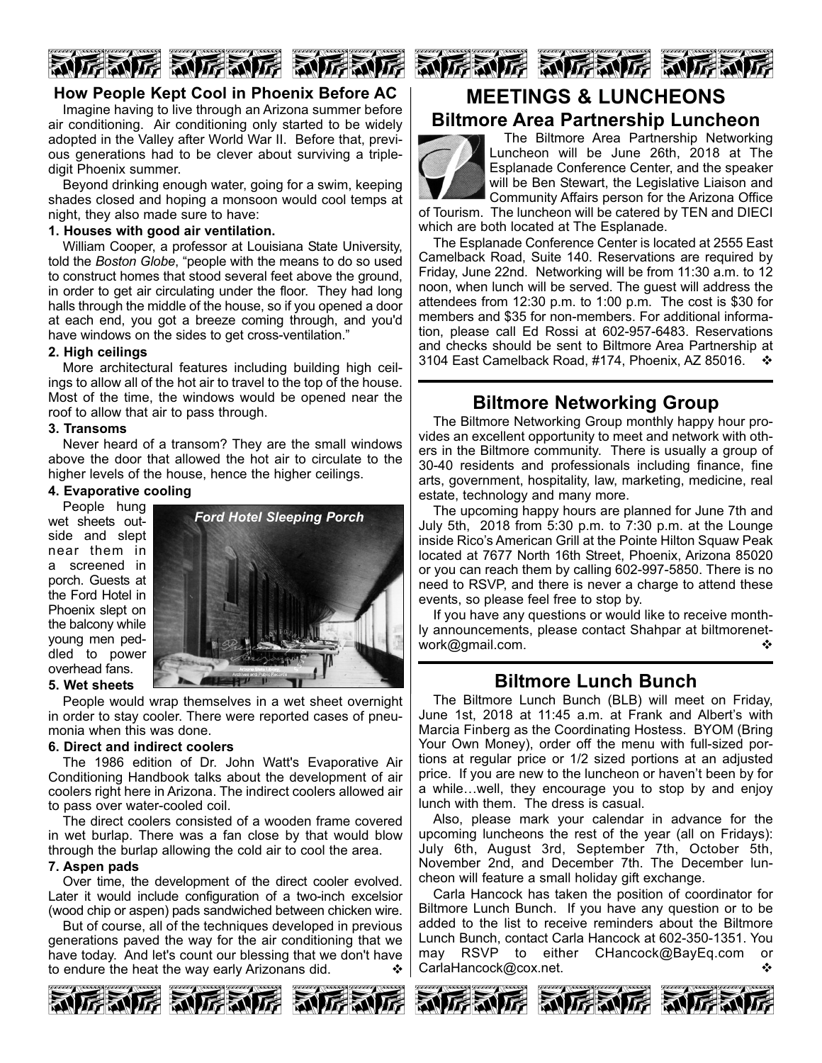## 厉烈厉 动厉利厉 乱

## **How People Kept Cool in Phoenix Before AC**

Imagine having to live through an Arizona summer before air conditioning. Air conditioning only started to be widely adopted in the Valley after World War II. Before that, previous generations had to be clever about surviving a tripledigit Phoenix summer.

Beyond drinking enough water, going for a swim, keeping shades closed and hoping a monsoon would cool temps at night, they also made sure to have:

### **1. Houses with good air ventilation.**

William Cooper, a professor at Louisiana State University, told the *Boston Globe*, "people with the means to do so used to construct homes that stood several feet above the ground, in order to get air circulating under the floor. They had long halls through the middle of the house, so if you opened a door at each end, you got a breeze coming through, and you'd have windows on the sides to get cross-ventilation."

### **2. High ceilings**

More architectural features including building high ceilings to allow all of the hot air to travel to the top of the house. Most of the time, the windows would be opened near the roof to allow that air to pass through.

### **3. Transoms**

Never heard of a transom? They are the small windows above the door that allowed the hot air to circulate to the higher levels of the house, hence the higher ceilings.

## **4. Evaporative cooling**

People hung wet sheets outside and slept near them in a screened in porch. Guests at the Ford Hotel in Phoenix slept on the balcony while young men peddled to power overhead fans.



**5. Wet sheets** People would wrap themselves in a wet sheet overnight

## in order to stay cooler. There were reported cases of pneumonia when this was done.

### **6. Direct and indirect coolers**

The 1986 edition of Dr. John Watt's Evaporative Air Conditioning Handbook talks about the development of air coolers right here in Arizona. The indirect coolers allowed air to pass over water-cooled coil.

The direct coolers consisted of a wooden frame covered in wet burlap. There was a fan close by that would blow through the burlap allowing the cold air to cool the area.

### **7. Aspen pads**

Over time, the development of the direct cooler evolved. Later it would include configuration of a two-inch excelsior (wood chip or aspen) pads sandwiched between chicken wire.

But of course, all of the techniques developed in previous generations paved the way for the air conditioning that we have today. And let's count our blessing that we don't have to endure the heat the way early Arizonans did.





# **MEETINGS & LUNCHEONS**

## **Biltmore Area Partnership Luncheon**



The Biltmore Area Partnership Networking Luncheon will be June 26th, 2018 at The Esplanade Conference Center, and the speaker will be Ben Stewart, the Legislative Liaison and Community Affairs person for the Arizona Office

of Tourism. The luncheon will be catered by TEN and DIECI which are both located at The Esplanade.

The Esplanade Conference Center is located at 2555 East Camelback Road, Suite 140. Reservations are required by Friday, June 22nd. Networking will be from 11:30 a.m. to 12 noon, when lunch will be served. The guest will address the attendees from 12:30 p.m. to 1:00 p.m. The cost is \$30 for members and \$35 for non-members. For additional information, please call Ed Rossi at 602-957-6483. Reservations and checks should be sent to Biltmore Area Partnership at 3104 East Camelback Road, #174, Phoenix, AZ 85016.  $\cdot \cdot \cdot$ 

## **Biltmore Networking Group**

The Biltmore Networking Group monthly happy hour provides an excellent opportunity to meet and network with others in the Biltmore community. There is usually a group of 3040 residents and professionals including finance, fine arts, government, hospitality, law, marketing, medicine, real estate, technology and many more.

The upcoming happy hours are planned for June 7th and July 5th, 2018 from 5:30 p.m. to 7:30 p.m. at the Lounge inside Rico's American Grill at the Pointe Hilton Squaw Peak located at 7677 North 16th Street, Phoenix, Arizona 85020 or you can reach them by calling 602-997-5850. There is no need to RSVP, and there is never a charge to attend these events, so please feel free to stop by.

If you have any questions or would like to receive monthly announcements, please contact Shahpar at biltmorenetwork@gmail.com. v

## **Biltmore Lunch Bunch**

The Biltmore Lunch Bunch (BLB) will meet on Friday, June 1st, 2018 at 11:45 a.m. at Frank and Albert's with Marcia Finberg as the Coordinating Hostess. BYOM (Bring Your Own Money), order off the menu with full-sized portions at regular price or 1/2 sized portions at an adjusted price. If you are new to the luncheon or haven't been by for a while…well, they encourage you to stop by and enjoy lunch with them. The dress is casual.

Also, please mark your calendar in advance for the upcoming luncheons the rest of the year (all on Fridays): July 6th, August 3rd, September 7th, October 5th, November 2nd, and December 7th. The December luncheon will feature a small holiday gift exchange.

Carla Hancock has taken the position of coordinator for Biltmore Lunch Bunch. If you have any question or to be added to the list to receive reminders about the Biltmore Lunch Bunch, contact Carla Hancock at 602-350-1351. You may RSVP to either CHancock@BayEq.com or CarlaHancock@cox.net. v





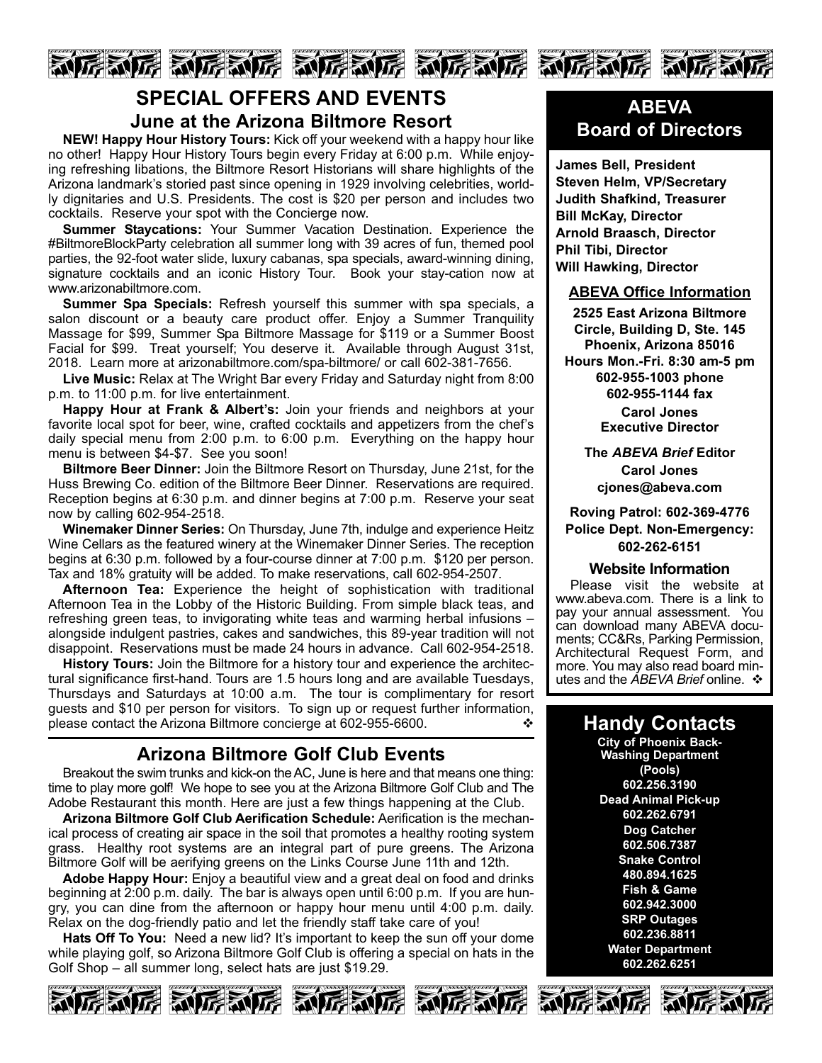

## **SPECIAL OFFERS AND EVENTS June at the Arizona Biltmore Resort**

**NEW! Happy Hour History Tours:** Kick off your weekend with a happy hour like no other! Happy Hour History Tours begin every Friday at 6:00 p.m. While enjoying refreshing libations, the Biltmore Resort Historians will share highlights of the Arizona landmark's storied past since opening in 1929 involving celebrities, worldly dignitaries and U.S. Presidents. The cost is \$20 per person and includes two cocktails. Reserve your spot with the Concierge now.

**Summer Staycations:** Your Summer Vacation Destination. Experience the #BiltmoreBlockParty celebration all summer long with 39 acres of fun, themed pool parties, the 92-foot water slide, luxury cabanas, spa specials, award-winning dining, signature cocktails and an iconic History Tour. Book your stay-cation now at www.arizonabiltmore.com.

**Summer Spa Specials:** Refresh yourself this summer with spa specials, a salon discount or a beauty care product offer. Enjoy a Summer Tranquility Massage for \$99, Summer Spa Biltmore Massage for \$119 or a Summer Boost Facial for \$99. Treat yourself; You deserve it. Available through August 31st, 2018. Learn more at arizonabiltmore.com/spa-biltmore/ or call 602-381-7656.

**Live Music:** Relax at The Wright Bar every Friday and Saturday night from 8:00 p.m. to 11:00 p.m. for live entertainment.

**Happy Hour at Frank & Albert's:** Join your friends and neighbors at your favorite local spot for beer, wine, crafted cocktails and appetizers from the chef's daily special menu from 2:00 p.m. to 6:00 p.m. Everything on the happy hour menu is between \$4-\$7. See you soon!

**Biltmore Beer Dinner:** Join the Biltmore Resort on Thursday, June 21st, for the Huss Brewing Co. edition of the Biltmore Beer Dinner. Reservations are required. Reception begins at 6:30 p.m. and dinner begins at 7:00 p.m. Reserve your seat now by calling 602-954-2518.

**Winemaker Dinner Series:** On Thursday, June 7th, indulge and experience Heitz Wine Cellars as the featured winery at the Winemaker Dinner Series. The reception begins at 6:30 p.m. followed by a four-course dinner at 7:00 p.m. \$120 per person. Tax and 18% gratuity will be added. To make reservations, call 602-954-2507.

**Afternoon Tea:** Experience the height of sophistication with traditional Afternoon Tea in the Lobby of the Historic Building. From simple black teas, and refreshing green teas, to invigorating white teas and warming herbal infusions – alongside indulgent pastries, cakes and sandwiches, this 89year tradition will not disappoint. Reservations must be made 24 hours in advance. Call 602-954-2518.

**History Tours:** Join the Biltmore for a history tour and experience the architectural significance first-hand. Tours are 1.5 hours long and are available Tuesdays, Thursdays and Saturdays at 10:00 a.m. The tour is complimentary for resort guests and \$10 per person for visitors. To sign up or request further information, please contact the Arizona Biltmore concierge at 602-955-6600.

## **Arizona Biltmore Golf Club Events**

Breakout the swim trunks and kick-on the AC, June is here and that means one thing: time to play more golf! We hope to see you at the Arizona Biltmore Golf Club and The Adobe Restaurant this month. Here are just a few things happening at the Club.

**Arizona Biltmore Golf Club Aerification Schedule:** Aerification is the mechanical process of creating air space in the soil that promotes a healthy rooting system grass. Healthy root systems are an integral part of pure greens. The Arizona Biltmore Golf will be aerifying greens on the Links Course June 11th and 12th.

**Adobe Happy Hour:** Enjoy a beautiful view and a great deal on food and drinks beginning at 2:00 p.m. daily. The bar is always open until 6:00 p.m. If you are hungry, you can dine from the afternoon or happy hour menu until 4:00 p.m. daily. Relax on the dog-friendly patio and let the friendly staff take care of you!

**Hats Off To You:** Need a new lid? It's important to keep the sun off your dome while playing golf, so Arizona Biltmore Golf Club is offering a special on hats in the Golf Shop – all summer long, select hats are just \$19.29.







## **ABEVA Board of Directors**

**James Bell, President Steven Helm, VP/Secretary Judith Shafkind, Treasurer Bill McKay, Director Arnold Braasch, Director Phil Tibi, Director Will Hawking, Director**

## **ABEVA Office Information**

**2525 East Arizona Biltmore Circle, Building D, Ste. 145 Phoenix, Arizona 85016 Hours Mon.Fri. 8:30 am5 pm 6029551003 phone 6029551144 fax**

**Carol Jones Executive Director**

**The** *ABEVA Brief* **Editor Carol Jones cjones@abeva.com**

**Roving Patrol: 6023694776 Police Dept. Non-Emergency: 6022626151**

### **Website Information**

Please visit the website at www.abeva.com. There is a link to pay your annual assessment. You can download many ABEVA documents; CC&Rs, Parking Permission, Architectural Request Form, and more. You may also read board minutes and the *ABEVA Brief* online. ❖

## **Handy Contacts**

**City of Phoenix Back-Washing Department (Pools) 602.256.3190 Dead Animal Pick-up 602.262.6791 Dog Catcher 602.506.7387 Snake Control 480.894.1625 Fish & Game 602.942.3000 SRP Outages 602.236.8811 Water Department 602.262.6251**